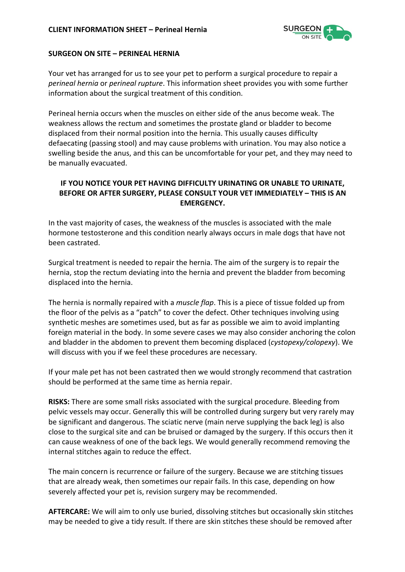

## **SURGEON ON SITE – PERINEAL HERNIA**

Your vet has arranged for us to see your pet to perform a surgical procedure to repair a *perineal hernia* or *perineal rupture*. This information sheet provides you with some further information about the surgical treatment of this condition.

Perineal hernia occurs when the muscles on either side of the anus become weak. The weakness allows the rectum and sometimes the prostate gland or bladder to become displaced from their normal position into the hernia. This usually causes difficulty defaecating (passing stool) and may cause problems with urination. You may also notice a swelling beside the anus, and this can be uncomfortable for your pet, and they may need to be manually evacuated.

## **IF YOU NOTICE YOUR PET HAVING DIFFICULTY URINATING OR UNABLE TO URINATE, BEFORE OR AFTER SURGERY, PLEASE CONSULT YOUR VET IMMEDIATELY – THIS IS AN EMERGENCY.**

In the vast majority of cases, the weakness of the muscles is associated with the male hormone testosterone and this condition nearly always occurs in male dogs that have not been castrated.

Surgical treatment is needed to repair the hernia. The aim of the surgery is to repair the hernia, stop the rectum deviating into the hernia and prevent the bladder from becoming displaced into the hernia.

The hernia is normally repaired with a *muscle flap*. This is a piece of tissue folded up from the floor of the pelvis as a "patch" to cover the defect. Other techniques involving using synthetic meshes are sometimes used, but as far as possible we aim to avoid implanting foreign material in the body. In some severe cases we may also consider anchoring the colon and bladder in the abdomen to prevent them becoming displaced (*cystopexy/colopexy*). We will discuss with you if we feel these procedures are necessary.

If your male pet has not been castrated then we would strongly recommend that castration should be performed at the same time as hernia repair.

**RISKS:** There are some small risks associated with the surgical procedure. Bleeding from pelvic vessels may occur. Generally this will be controlled during surgery but very rarely may be significant and dangerous. The sciatic nerve (main nerve supplying the back leg) is also close to the surgical site and can be bruised or damaged by the surgery. If this occurs then it can cause weakness of one of the back legs. We would generally recommend removing the internal stitches again to reduce the effect.

The main concern is recurrence or failure of the surgery. Because we are stitching tissues that are already weak, then sometimes our repair fails. In this case, depending on how severely affected your pet is, revision surgery may be recommended.

**AFTERCARE:** We will aim to only use buried, dissolving stitches but occasionally skin stitches may be needed to give a tidy result. If there are skin stitches these should be removed after